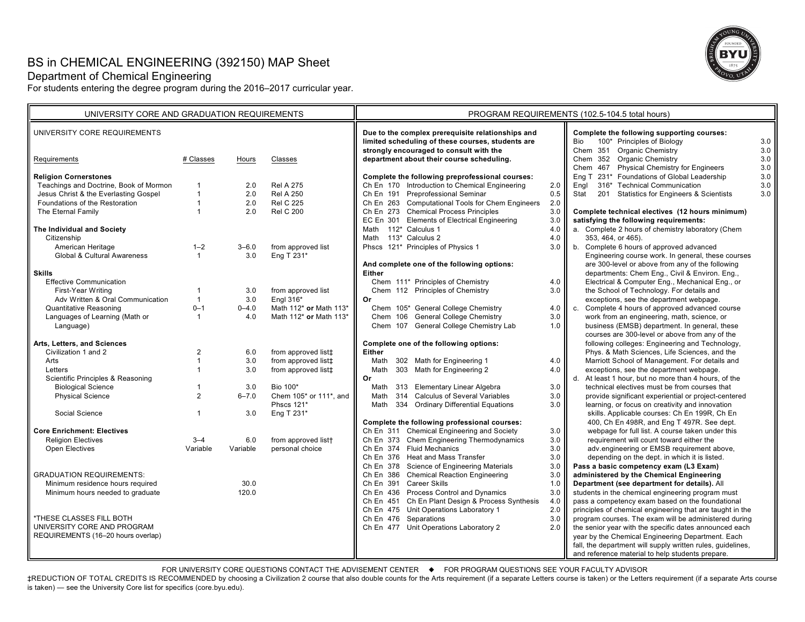# BS in CHEMICAL ENGINEERING (392150) MAP Sheet

# Department of Chemical Engineering

For students entering the degree program during the 2016–2017 curricular year.



| UNIVERSITY CORE AND GRADUATION REQUIREMENTS |                |           | PROGRAM REQUIREMENTS (102.5-104.5 total hours) |                                                                                                                                                   |                    |                                                                                                                      |                |
|---------------------------------------------|----------------|-----------|------------------------------------------------|---------------------------------------------------------------------------------------------------------------------------------------------------|--------------------|----------------------------------------------------------------------------------------------------------------------|----------------|
| UNIVERSITY CORE REQUIREMENTS                |                |           |                                                | Due to the complex prerequisite relationships and<br>limited scheduling of these courses, students are<br>strongly encouraged to consult with the |                    | Complete the following supporting courses:<br>100* Principles of Biology<br><b>Bio</b><br>Chem 351 Organic Chemistry | 3.0<br>3.0     |
| Requirements                                | # Classes      | Hours     | Classes                                        | department about their course scheduling.                                                                                                         |                    | Chem 352 Organic Chemistry<br>Chem 467 Physical Chemistry for Engineers                                              | $3.0\,$<br>3.0 |
| <b>Religion Cornerstones</b>                |                |           |                                                | Complete the following preprofessional courses:                                                                                                   |                    | Eng T 231* Foundations of Global Leadership                                                                          | 3.0            |
| Teachings and Doctrine, Book of Mormon      | $\mathbf 1$    | 2.0       | <b>Rel A 275</b>                               | Ch En 170 Introduction to Chemical Engineering                                                                                                    | 2.0                | 316* Technical Communication<br>Engl                                                                                 | $3.0\,$        |
| Jesus Christ & the Everlasting Gospel       | $\mathbf{1}$   | 2.0       | <b>Rel A 250</b>                               | Ch En 191 Preprofessional Seminar                                                                                                                 | 0.5                | 201 Statistics for Engineers & Scientists<br>Stat                                                                    | 3.0            |
| Foundations of the Restoration              | $\mathbf{1}$   | 2.0       | <b>Rel C 225</b>                               | Ch En 263 Computational Tools for Chem Engineers                                                                                                  | 2.0                |                                                                                                                      |                |
| The Eternal Family                          | $\mathbf{1}$   | 2.0       | <b>Rel C 200</b>                               | Ch En 273 Chemical Process Principles                                                                                                             | 3.0                | Complete technical electives (12 hours minimum)                                                                      |                |
|                                             |                |           |                                                | EC En 301 Elements of Electrical Engineering                                                                                                      | 3.0                | satisfying the following requirements:                                                                               |                |
| The Individual and Society                  |                |           |                                                | Math 112* Calculus 1                                                                                                                              | 4.0                | a. Complete 2 hours of chemistry laboratory (Chem                                                                    |                |
| Citizenship                                 |                |           |                                                | Math 113* Calculus 2                                                                                                                              | 4.0                | 353, 464, or 465).                                                                                                   |                |
| American Heritage                           | $1 - 2$        | $3 - 6.0$ | from approved list                             | Phscs 121* Principles of Physics 1                                                                                                                | $3.0$ II           | b. Complete 6 hours of approved advanced                                                                             |                |
| <b>Global &amp; Cultural Awareness</b>      | $\mathbf{1}$   | 3.0       | Eng T 231*                                     |                                                                                                                                                   |                    | Engineering course work. In general, these courses                                                                   |                |
|                                             |                |           |                                                | And complete one of the following options:                                                                                                        |                    | are 300-level or above from any of the following                                                                     |                |
| <b>Skills</b>                               |                |           |                                                | Either                                                                                                                                            |                    | departments: Chem Eng., Civil & Environ. Eng.,                                                                       |                |
| <b>Effective Communication</b>              |                |           |                                                | Chem 111* Principles of Chemistry                                                                                                                 | 4.0                | Electrical & Computer Eng., Mechanical Eng., or                                                                      |                |
| First-Year Writing                          | $\mathbf{1}$   | 3.0       | from approved list                             | Chem 112 Principles of Chemistry                                                                                                                  | 3.0                | the School of Technology. For details and                                                                            |                |
| Adv Written & Oral Communication            | $\mathbf{1}$   | 3.0       | Engl 316*                                      | Or                                                                                                                                                |                    | exceptions, see the department webpage.                                                                              |                |
| <b>Quantitative Reasoning</b>               | $0 - 1$        | $0 - 4.0$ | Math 112* or Math 113*                         | Chem 105* General College Chemistry                                                                                                               | 4.0 $\blacksquare$ | Complete 4 hours of approved advanced course<br>C.                                                                   |                |
| Languages of Learning (Math or              | $\overline{1}$ | 4.0       | Math 112* or Math 113*                         | Chem 106 General College Chemistry                                                                                                                | 3.0                | work from an engineering, math, science, or                                                                          |                |
| Language)                                   |                |           |                                                | Chem 107 General College Chemistry Lab                                                                                                            | 1.0                | business (EMSB) department. In general, these                                                                        |                |
|                                             |                |           |                                                |                                                                                                                                                   |                    | courses are 300-level or above from any of the                                                                       |                |
| Arts, Letters, and Sciences                 |                |           |                                                | Complete one of the following options:                                                                                                            |                    | following colleges: Engineering and Technology,                                                                      |                |
| Civilization 1 and 2                        | $\overline{2}$ | 6.0       | from approved list‡                            | <b>Either</b>                                                                                                                                     |                    | Phys. & Math Sciences, Life Sciences, and the                                                                        |                |
| Arts                                        | $\mathbf{1}$   | 3.0       | from approved list‡                            | 302 Math for Engineering 1<br>Math                                                                                                                | 4.0                | Marriott School of Management. For details and                                                                       |                |
| Letters                                     | $\mathbf{1}$   | 3.0       | from approved list‡                            | 303 Math for Engineering 2<br>Math                                                                                                                | 4.0 <sub>1</sub>   | exceptions, see the department webpage.                                                                              |                |
| Scientific Principles & Reasoning           |                |           |                                                | Or                                                                                                                                                |                    | d. At least 1 hour, but no more than 4 hours, of the                                                                 |                |
| <b>Biological Science</b>                   | $\mathbf{1}$   | 3.0       | Bio 100*                                       | 313 Elementary Linear Algebra<br>Math                                                                                                             | 3.0                | technical electives must be from courses that                                                                        |                |
| <b>Physical Science</b>                     | 2              | $6 - 7.0$ | Chem 105* or 111*, and                         | 314 Calculus of Several Variables<br>Math                                                                                                         | 3.0                | provide significant experiential or project-centered                                                                 |                |
|                                             |                |           | Phscs 121*                                     | 334 Ordinary Differential Equations<br>Math                                                                                                       | 3.0                | learning, or focus on creativity and innovation                                                                      |                |
| Social Science                              | $\mathbf{1}$   | 3.0       | Eng T 231*                                     |                                                                                                                                                   |                    | skills. Applicable courses: Ch En 199R, Ch En                                                                        |                |
|                                             |                |           |                                                | Complete the following professional courses:                                                                                                      |                    | 400, Ch En 498R, and Eng T 497R. See dept.                                                                           |                |
| <b>Core Enrichment: Electives</b>           |                |           |                                                | Ch En 311 Chemical Engineering and Society                                                                                                        | 3.0                | webpage for full list. A course taken under this                                                                     |                |
| <b>Religion Electives</b>                   | $3 - 4$        | 6.0       | from approved list <sup>+</sup>                | Ch En 373 Chem Engineering Thermodynamics                                                                                                         | 3.0                | requirement will count toward either the                                                                             |                |
| Open Electives                              | Variable       | Variable  | personal choice                                | Ch En 374 Fluid Mechanics                                                                                                                         | 3.0                | adv.engineering or EMSB requirement above,                                                                           |                |
|                                             |                |           |                                                | Ch En 376 Heat and Mass Transfer                                                                                                                  | 3.0                | depending on the dept. in which it is listed.                                                                        |                |
|                                             |                |           |                                                | Ch En 378 Science of Engineering Materials                                                                                                        | 3.0                | Pass a basic competency exam (L3 Exam)                                                                               |                |
| <b>GRADUATION REQUIREMENTS:</b>             |                |           |                                                | Ch En 386 Chemical Reaction Engineering                                                                                                           | 3.0                | administered by the Chemical Engineering                                                                             |                |
| Minimum residence hours required            |                | 30.0      |                                                | Ch En 391 Career Skills                                                                                                                           | 1.0                | Department (see department for details). All                                                                         |                |
| Minimum hours needed to graduate            |                | 120.0     |                                                | Ch En 436 Process Control and Dynamics                                                                                                            | 3.0                | students in the chemical engineering program must                                                                    |                |
|                                             |                |           |                                                | Ch En 451 Ch En Plant Design & Process Synthesis                                                                                                  | 4.0                | pass a competency exam based on the foundational                                                                     |                |
|                                             |                |           |                                                | Ch En 475 Unit Operations Laboratory 1                                                                                                            | 2.0                | principles of chemical engineering that are taught in the                                                            |                |
| *THESE CLASSES FILL BOTH                    |                |           |                                                | Ch En 476 Separations                                                                                                                             | 3.0                | program courses. The exam will be administered during                                                                |                |
| UNIVERSITY CORE AND PROGRAM                 |                |           |                                                | Ch En 477 Unit Operations Laboratory 2                                                                                                            | 2.0                | the senior year with the specific dates announced each                                                               |                |
| REQUIREMENTS (16-20 hours overlap)          |                |           |                                                |                                                                                                                                                   |                    | year by the Chemical Engineering Department. Each                                                                    |                |
|                                             |                |           |                                                |                                                                                                                                                   |                    | fall, the department will supply written rules, guidelines,                                                          |                |
|                                             |                |           |                                                |                                                                                                                                                   |                    | and reference material to help students prepare.                                                                     |                |

FOR UNIVERSITY CORE QUESTIONS CONTACT THE ADVISEMENT CENTER  $\quad \bullet \quad$  FOR PROGRAM QUESTIONS SEE YOUR FACULTY ADVISOR

‡REDUCTION OF TOTAL CREDITS IS RECOMMENDED by choosing a Civilization 2 course that also double counts for the Arts requirement (if a separate Letters course is taken) or the Letters requirement (if a separate Arts course is taken) — see the University Core list for specifics (core.byu.edu).